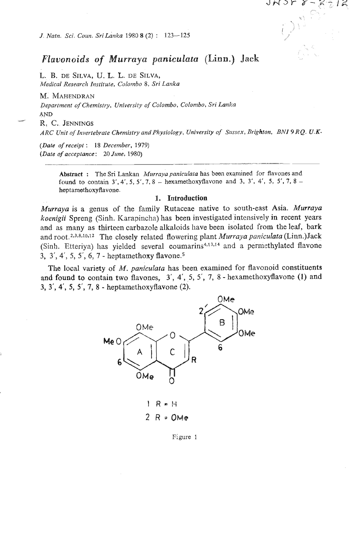*J. Natn. Sci. Coun. Sri Lanka* 1980 **8** (2) : 123-125

# *Flavonoids* of *Murraya peniculata* **(Linn.) Jack**

**E. B. DE SILVA,** U. **L. L.** DE **SILVA,**  *Medical Research Institute, Colombo 8, Sri Lanka* 

M. **MAHENDRAW**  Department of Chemistry, University of Colombo, Colombo, Sri Lanka **AND M R. C. JENNINGS** 

*ARC Unit ~Jlnvertebrate Chemistry and Physiology, University of* **Sussex,** *Brightotr. BArI 9 RQ. U.K-* 

*(Date of receipt* : *18 December,* 1979) *(Date of acceptance: 20 June, 1980)* 

> Abstract : The Sri Lankan *Murraya paniculata* has been examined for flavones and **found to contain 3'. 4', 5,** 5'. **7.8** - **hexamethoxyflavone and 3, 3'. 4',** 5, **5'.** 7, **8 heptamethoxyflavone.**

## *1.* Iutroduction

*Murraya* is a genus of the family Rutaceae native to south-east Asia. *Murraya*  koenigii Spreng (Sinh. Karapincha) has been investigated intensively in recent years and as many as thirteen carbazole alkaloids have been isolated from the leaf, bark and root. **2,3\*8,10312** The closely related flowering plant *Murraya paniculata* (Linn.)Jack (Sinh. Etteriya) has yielded several coumarins<sup>4,13,14</sup> and a permethylated flavone **3, 3',** 4', 5, 5', *6,* 7 - heptamethoxy flavone.=

The local variety of *M. paniculata* has been examined for flavonoid constituents **and found** to contain two flavones, **3',** 4', 5, 5', 7, 8 - hexamethoxyflavone (1) and **3, 3',** 4', **5, 5', 7,** 8 - heptamethoxyflavone **(2).** 



Figure 1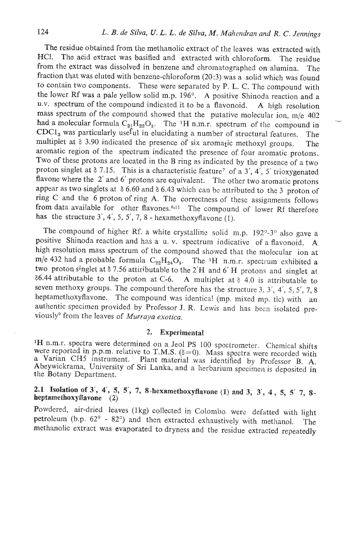The residue obtained from the methanolic extract of the leaves was extracted with NCI. The acid extract was basified and extracted with chloroform. The residue from the extract was dissolved in benzene and chromatographed on alumina. The fraction that was eluted with benzene-chloroform (20:3) was a solid which was found to contain two components. These were separated by P. L. C. The compound with the lower Rf was a pale yellow solid m.p.  $196^\circ$ . A positive Shinoda reaction and a u.v. spectrum of the compound indicated it to be a flavonoid. A high resolution mass spectrum of the compound showed that the putative molecular ion,  $m/e$  402 had a molecular formula  $C_{21}H_{22}O_8$ . The <sup>1</sup>H n.m.r. spectrum of the compound in **CDC1,** was particularly useful in elucidating a number of structural features. The multiplet at  $\delta$  3.90 indicated the presence of six aromatic methoxyl groups. The aromatic region of the spectrum indicated the presence of four aromatic protons. Two of these protons are located in the B ring as indicated by the presence of a two proton singlet at  $\delta$  7.15. This is a characteristic feature<sup>7</sup> of a 3', 4', 5' trioxygenated flavone where the 2' and 6' protons are equivalent. The other two aromatic protons appear as two singlets at  $\delta$  6.60 and  $\delta$  6.43 which can be attributed to the 3 proton of ring C and the 6 proton of ring A. The correctness of thesc assignments follows from data available for other flavones.<sup>6,11</sup> The compound of lower Rf therefore has the structure 3', 4', 5, 5', 7, 8 - hexamethoxyflavone (1).

The compound of higher Rf. a white crystalline solid m.p.  $192^{\circ}$ -3° also gave a positive Shinoda reaction and has a u, v. spectrum indicativc of a flavonoid. **A**  high resolution mass spectrum of the compound showed that the molecular ion at m/e 432 had a probable formula  $C_{22}H_{24}O_0$ . The <sup>1</sup>H n.m.r. spectrum exhibited a two proton singlet at 6 7.56 attiributable to the 2'H and 6' H protons and singlet at  $\delta$ 6.44 attributable to the proton at C-6. A multiplet at  $\delta$  4.0 is attributable to seven methoxy groups. The compound therefore has the structure 3,  $3'$ ,  $4'$ ,  $5$ ,  $5'$ ,  $7$ ,  $8$ heptamethoxyflavone. The compound was identical (mp. mixed mp. tlc) with an authentic specimen provided by Professor J. R. Lewis and has been isolated previously<sup>9</sup> from the leaves of *Murraya exotica*.

## **2.** Experimental

<sup>1</sup>H n.m.r. spectra were determined on a Jeol PS 100 spectrometer. Chemical shifts were reported in p.p.m. relative to T.M.S. ( $\delta$ =0). Mass spectra were recorded with a Varian CH5 instrument. Plant material was identified by Professor B. A. Abeywickrama, University of Sri Lanka, and a herbarium specimen is deposited in the Botany Department.

## 2.8 Isolation **of 3', 4') 5, 5', 7,** 8-hexamethoxyflavone **(1) and 3, 3', 4, 5,** 5' **7, 8**  heptamethoxyflavone (2)

Powdered, air-dried leaves (1kg) collected in Colombo were defatted with light petroleum (b.p. 62' - 82') and then extracted exhaustively with methanol. The methanolic extract was evaporated to dryness and the residue extracted repeatedly